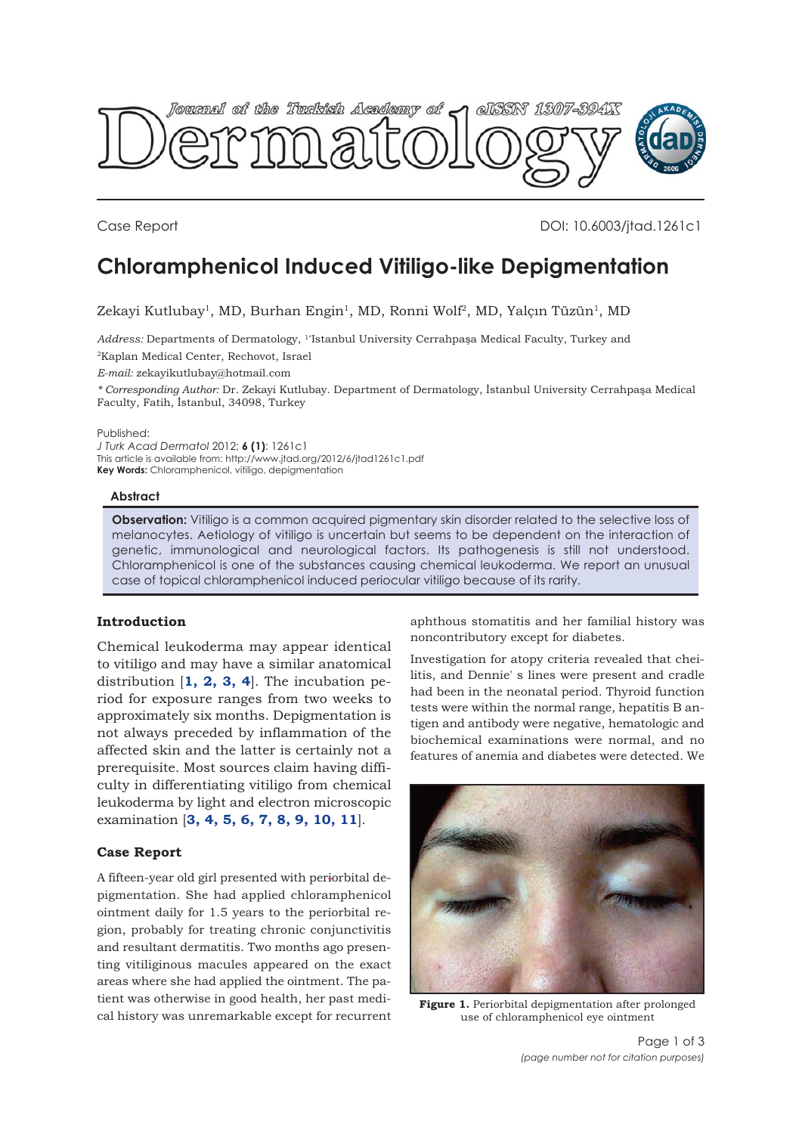<span id="page-0-0"></span>

Case Report DOI: 10.6003/jtad.1261c1

# **Chloramphenicol Induced Vitiligo-like Depigmentation**

Zekayi Kutlubay<sup>1</sup>, MD, Burhan Engin<sup>1</sup>, MD, Ronni Wolf<sup>2</sup>, MD, Yalçın Tüzün<sup>1</sup>, MD

*Address:* Departments of Dermatology, 1\*Istanbul University Cerrahpaşa Medical Faculty, Turkey and 2Kaplan Medical Center, Rechovot, Israel

*E-mail:* zekayikutlubay@hotmail.com

*\* Corresponding Author:* Dr. Zekayi Kutlubay. Department of Dermatology, İstanbul University Cerrahpaşa Medical Faculty, Fatih, İstanbul, 34098, Turkey

#### Published:

*J Turk Acad Dermatol* 2012; **6 (1)**: 1261c1 This article is available from: http://www.jtad.org/2012/6/jtad1261c1.pdf **Key Words:** Chloramphenicol, vitiligo, depigmentation

## **Abstract**

**Observation:** Vitiligo is a common acquired pigmentary skin disorder related to the selective loss of melanocytes. Aetiology of vitiligo is uncertain but seems to be dependent on the interaction of genetic, immunological and neurological factors. Its pathogenesis is still not understood. Chloramphenicol is one of the substances causing chemical leukoderma. We report an unusual case of topical chloramphenicol induced periocular vitiligo because of its rarity.

# **Introduction**

Chemical leukoderma may appear identical to vitiligo and may have a similar anatomical distribution [**[1](#page-2-0), [2,](#page-2-0) [3,](#page-2-0) [4](#page-2-0)**]. The incubation period for exposure ranges from two weeks to approximately six months. Depigmentation is not always preceded by inflammation of the affected skin and the latter is certainly not a prerequisite. Most sources claim having difficulty in differentiating vitiligo from chemical leukoderma by light and electron microscopic examination [**[3, 4, 5,](#page-2-0) [6, 7,](#page-2-0) [8, 9, 10, 11](#page-2-0)**].

## **Case Report**

A fifteen-year old girl presented with periorbital depigmentation. She had applied chloramphenicol ointment daily for 1.5 years to the periorbital region, probably for treating chronic conjunctivitis and resultant dermatitis. Two months ago presenting vitiliginous macules appeared on the exact areas where she had applied the ointment. The patient was otherwise in good health, her past medical history was unremarkable except for recurrent aphthous stomatitis and her familial history was noncontributory except for diabetes.

Investigation for atopy criteria revealed that cheilitis, and Dennie' s lines were present and cradle had been in the neonatal period. Thyroid function tests were within the normal range, hepatitis B antigen and antibody were negative, hematologic and biochemical examinations were normal, and no features of anemia and diabetes were detected. We



[Figure 1.](#page-1-0) Periorbital depigmentation after prolonged use of chloramphenicol eye ointment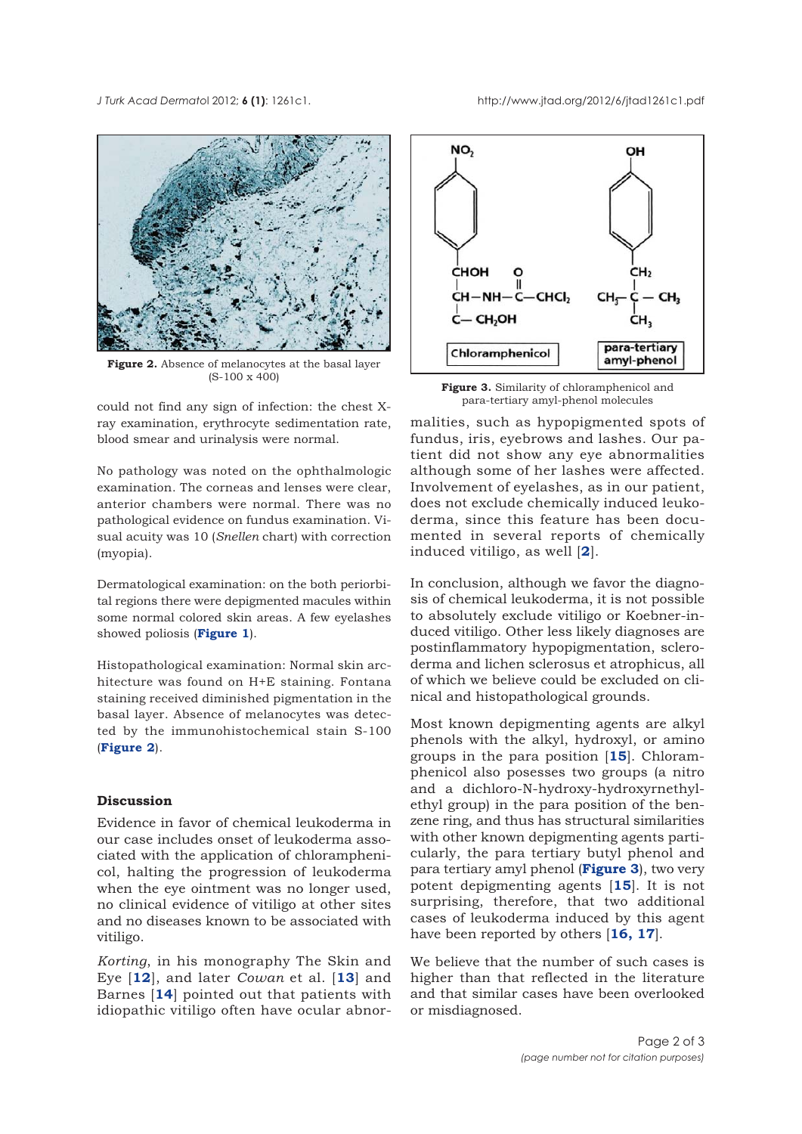<span id="page-1-0"></span>

**Figure 2.** Absence of melanocytes at the basal layer (S-100 x 400)

could not find any sign of infection: the chest Xray examination, erythrocyte sedimentation rate, blood smear and urinalysis were normal.

No pathology was noted on the ophthalmologic examination. The corneas and lenses were clear, anterior chambers were normal. There was no pathological evidence on fundus examination. Visual acuity was 10 (*Snellen* chart) with correction (myopia).

Dermatological examination: on the both periorbital regions there were depigmented macules within some normal colored skin areas. A few eyelashes showed poliosis (**[Figure 1](#page-0-0)**).

Histopathological examination: Normal skin architecture was found on H+E staining. Fontana staining received diminished pigmentation in the basal layer. Absence of melanocytes was detected by the immunohistochemical stain S-100 (**Figure 2**).

# **Discussion**

Evidence in favor of chemical leukoderma in our case includes onset of leukoderma associated with the application of chloramphenicol, halting the progression of leukoderma when the eye ointment was no longer used, no clinical evidence of vitiligo at other sites and no diseases known to be associated with vitiligo.

*Korting*, in his monography The Skin and Eye [**[12](#page-2-0)**], and later *Cowan* et al. [**[13](#page-2-0)**] and Barnes [**[14](#page-2-0)**] pointed out that patients with idiopathic vitiligo often have ocular abnor-



**Figure 3.** Similarity of chloramphenicol and para-tertiary amyl-phenol molecules

malities, such as hypopigmented spots of fundus, iris, eyebrows and lashes. Our patient did not show any eye abnormalities although some of her lashes were affected. Involvement of eyelashes, as in our patient, does not exclude chemically induced leukoderma, since this feature has been documented in several reports of chemically induced vitiligo, as well [**[2](#page-2-0)**].

In conclusion, although we favor the diagnosis of chemical leukoderma, it is not possible to absolutely exclude vitiligo or Koebner-induced vitiligo. Other less likely diagnoses are postinflammatory hypopigmentation, scleroderma and lichen sclerosus et atrophicus, all of which we believe could be excluded on clinical and histopathological grounds.

Most known depigmenting agents are alkyl phenols with the alkyl, hydroxyl, or amino groups in the para position [**[15](#page-2-0)**]. Chloramphenicol also posesses two groups (a nitro and a dichloro-N-hydroxy-hydroxyrnethylethyl group) in the para position of the benzene ring, and thus has structural similarities with other known depigmenting agents particularly, the para tertiary butyl phenol and para tertiary amyl phenol (**Figure 3**), two very potent depigmenting agents [**[15](#page-2-0)**]. It is not surprising, therefore, that two additional cases of leukoderma induced by this agent have been reported by others [**[16, 17](#page-2-0)**].

We believe that the number of such cases is higher than that reflected in the literature and that similar cases have been overlooked or misdiagnosed.